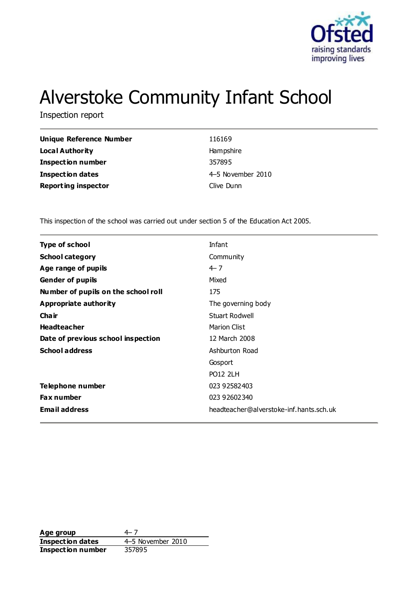

# Alverstoke Community Infant School

Inspection report

| <b>Unique Reference Number</b> | 116169            |
|--------------------------------|-------------------|
| Local Authority                | Hampshire         |
| <b>Inspection number</b>       | 357895            |
| <b>Inspection dates</b>        | 4-5 November 2010 |
| <b>Reporting inspector</b>     | Clive Dunn        |

This inspection of the school was carried out under section 5 of the Education Act 2005.

| <b>Type of school</b>               | Infant                                  |
|-------------------------------------|-----------------------------------------|
| <b>School category</b>              | Community                               |
| Age range of pupils                 | $4 - 7$                                 |
| <b>Gender of pupils</b>             | Mixed                                   |
| Number of pupils on the school roll | 175                                     |
| Appropriate authority               | The governing body                      |
| Cha ir                              | <b>Stuart Rodwell</b>                   |
| <b>Headteacher</b>                  | <b>Marion Clist</b>                     |
| Date of previous school inspection  | 12 March 2008                           |
| <b>School address</b>               | Ashburton Road                          |
|                                     | Gosport                                 |
|                                     | <b>PO12 2LH</b>                         |
| Telephone number                    | 023 92582403                            |
| <b>Fax number</b>                   | 023 92602340                            |
| <b>Email address</b>                | headteacher@alverstoke-inf.hants.sch.uk |
|                                     |                                         |

Age group  $4-7$ **Inspection dates** 4–5 November 2010<br> **Inspection number** 357895 **Inspection number**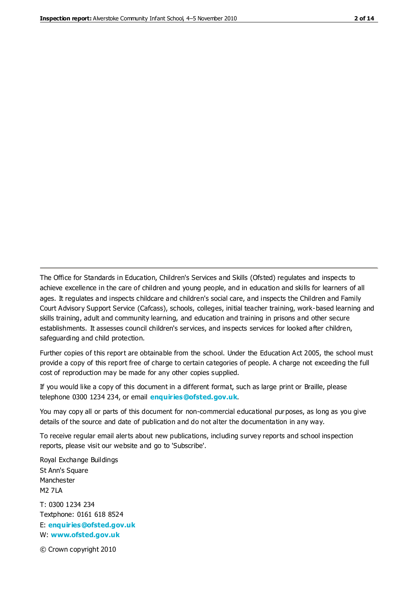The Office for Standards in Education, Children's Services and Skills (Ofsted) regulates and inspects to achieve excellence in the care of children and young people, and in education and skills for learners of all ages. It regulates and inspects childcare and children's social care, and inspects the Children and Family Court Advisory Support Service (Cafcass), schools, colleges, initial teacher training, work-based learning and skills training, adult and community learning, and education and training in prisons and other secure establishments. It assesses council children's services, and inspects services for looked after children, safeguarding and child protection.

Further copies of this report are obtainable from the school. Under the Education Act 2005, the school must provide a copy of this report free of charge to certain categories of people. A charge not exceeding the full cost of reproduction may be made for any other copies supplied.

If you would like a copy of this document in a different format, such as large print or Braille, please telephone 0300 1234 234, or email **[enquiries@ofsted.gov.uk](mailto:enquiries@ofsted.gov.uk)**.

You may copy all or parts of this document for non-commercial educational purposes, as long as you give details of the source and date of publication and do not alter the documentation in any way.

To receive regular email alerts about new publications, including survey reports and school inspection reports, please visit our website and go to 'Subscribe'.

Royal Exchange Buildings St Ann's Square Manchester M2 7LA T: 0300 1234 234 Textphone: 0161 618 8524 E: **[enquiries@ofsted.gov.uk](mailto:enquiries@ofsted.gov.uk)**

W: **[www.ofsted.gov.uk](http://www.ofsted.gov.uk/)**

© Crown copyright 2010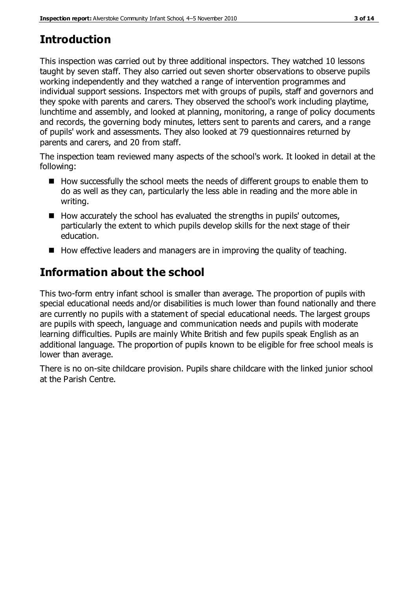# **Introduction**

This inspection was carried out by three additional inspectors. They watched 10 lessons taught by seven staff. They also carried out seven shorter observations to observe pupils working independently and they watched a range of intervention programmes and individual support sessions. Inspectors met with groups of pupils, staff and governors and they spoke with parents and carers. They observed the school's work including playtime, lunchtime and assembly, and looked at planning, monitoring, a range of policy documents and records, the governing body minutes, letters sent to parents and carers, and a range of pupils' work and assessments. They also looked at 79 questionnaires returned by parents and carers, and 20 from staff.

The inspection team reviewed many aspects of the school's work. It looked in detail at the following:

- $\blacksquare$  How successfully the school meets the needs of different groups to enable them to do as well as they can, particularly the less able in reading and the more able in writing.
- $\blacksquare$  How accurately the school has evaluated the strengths in pupils' outcomes, particularly the extent to which pupils develop skills for the next stage of their education.
- $\blacksquare$  How effective leaders and managers are in improving the quality of teaching.

# **Information about the school**

This two-form entry infant school is smaller than average. The proportion of pupils with special educational needs and/or disabilities is much lower than found nationally and there are currently no pupils with a statement of special educational needs. The largest groups are pupils with speech, language and communication needs and pupils with moderate learning difficulties. Pupils are mainly White British and few pupils speak English as an additional language. The proportion of pupils known to be eligible for free school meals is lower than average.

There is no on-site childcare provision. Pupils share childcare with the linked junior school at the Parish Centre.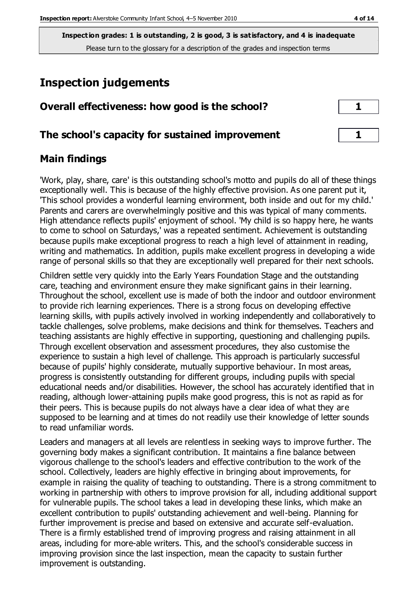**Inspection grades: 1 is outstanding, 2 is good, 3 is satisfactory, and 4 is inadequate** Please turn to the glossary for a description of the grades and inspection terms

# **Inspection judgements**

| Overall effectiveness: how good is the school?  |  |  |
|-------------------------------------------------|--|--|
| The school's capacity for sustained improvement |  |  |
|                                                 |  |  |

#### **Main findings**

'Work, play, share, care' is this outstanding school's motto and pupils do all of these things exceptionally well. This is because of the highly effective provision. As one parent put it, 'This school provides a wonderful learning environment, both inside and out for my child.' Parents and carers are overwhelmingly positive and this was typical of many comments. High attendance reflects pupils' enjoyment of school. 'My child is so happy here, he wants to come to school on Saturdays,' was a repeated sentiment. Achievement is outstanding because pupils make exceptional progress to reach a high level of attainment in reading, writing and mathematics. In addition, pupils make excellent progress in developing a wide range of personal skills so that they are exceptionally well prepared for their next schools.

Children settle very quickly into the Early Years Foundation Stage and the outstanding care, teaching and environment ensure they make significant gains in their learning. Throughout the school, excellent use is made of both the indoor and outdoor environment to provide rich learning experiences. There is a strong focus on developing effective learning skills, with pupils actively involved in working independently and collaboratively to tackle challenges, solve problems, make decisions and think for themselves. Teachers and teaching assistants are highly effective in supporting, questioning and challenging pupils. Through excellent observation and assessment procedures, they also customise the experience to sustain a high level of challenge. This approach is particularly successful because of pupils' highly considerate, mutually supportive behaviour. In most areas, progress is consistently outstanding for different groups, including pupils with special educational needs and/or disabilities. However, the school has accurately identified that in reading, although lower-attaining pupils make good progress, this is not as rapid as for their peers. This is because pupils do not always have a clear idea of what they are supposed to be learning and at times do not readily use their knowledge of letter sounds to read unfamiliar words.

Leaders and managers at all levels are relentless in seeking ways to improve further. The governing body makes a significant contribution. It maintains a fine balance between vigorous challenge to the school's leaders and effective contribution to the work of the school. Collectively, leaders are highly effective in bringing about improvements, for example in raising the quality of teaching to outstanding. There is a strong commitment to working in partnership with others to improve provision for all, including additional support for vulnerable pupils. The school takes a lead in developing these links, which make an excellent contribution to pupils' outstanding achievement and well-being. Planning for further improvement is precise and based on extensive and accurate self-evaluation. There is a firmly established trend of improving progress and raising attainment in all areas, including for more-able writers. This, and the school's considerable success in improving provision since the last inspection, mean the capacity to sustain further improvement is outstanding.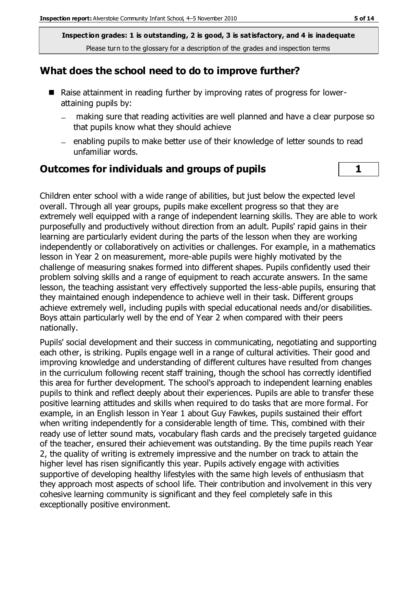**Inspection grades: 1 is outstanding, 2 is good, 3 is satisfactory, and 4 is inadequate** Please turn to the glossary for a description of the grades and inspection terms

#### **What does the school need to do to improve further?**

- Raise attainment in reading further by improving rates of progress for lowerattaining pupils by:
	- making sure that reading activities are well planned and have a clear purpose so  $\qquad \qquad$ that pupils know what they should achieve
	- enabling pupils to make better use of their knowledge of letter sounds to read unfamiliar words.

#### **Outcomes for individuals and groups of pupils 1**

Children enter school with a wide range of abilities, but just below the expected level overall. Through all year groups, pupils make excellent progress so that they are extremely well equipped with a range of independent learning skills. They are able to work purposefully and productively without direction from an adult. Pupils' rapid gains in their learning are particularly evident during the parts of the lesson when they are working independently or collaboratively on activities or challenges. For example, in a mathematics lesson in Year 2 on measurement, more-able pupils were highly motivated by the challenge of measuring snakes formed into different shapes. Pupils confidently used their problem solving skills and a range of equipment to reach accurate answers. In the same lesson, the teaching assistant very effectively supported the less-able pupils, ensuring that they maintained enough independence to achieve well in their task. Different groups achieve extremely well, including pupils with special educational needs and/or disabilities. Boys attain particularly well by the end of Year 2 when compared with their peers nationally.

Pupils' social development and their success in communicating, negotiating and supporting each other, is striking. Pupils engage well in a range of cultural activities. Their good and improving knowledge and understanding of different cultures have resulted from changes in the curriculum following recent staff training, though the school has correctly identified this area for further development. The school's approach to independent learning enables pupils to think and reflect deeply about their experiences. Pupils are able to transfer these positive learning attitudes and skills when required to do tasks that are more formal. For example, in an English lesson in Year 1 about Guy Fawkes, pupils sustained their effort when writing independently for a considerable length of time. This, combined with their ready use of letter sound mats, vocabulary flash cards and the precisely targeted guidance of the teacher, ensured their achievement was outstanding. By the time pupils reach Year 2, the quality of writing is extremely impressive and the number on track to attain the higher level has risen significantly this year. Pupils actively engage with activities supportive of developing healthy lifestyles with the same high levels of enthusiasm that they approach most aspects of school life. Their contribution and involvement in this very cohesive learning community is significant and they feel completely safe in this exceptionally positive environment.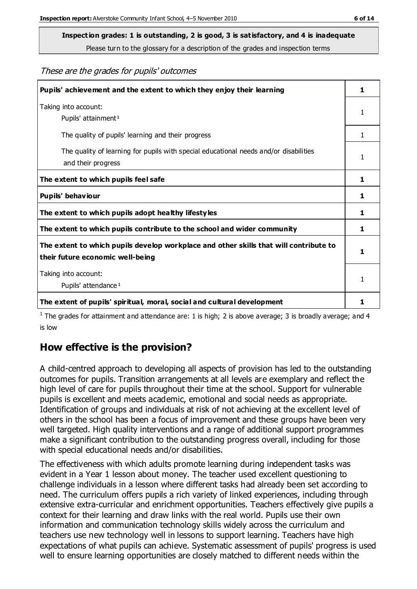Please turn to the glossary for a description of the grades and inspection terms

These are the grades for pupils' outcomes

| Pupils' achievement and the extent to which they enjoy their learning                                                     | 1            |
|---------------------------------------------------------------------------------------------------------------------------|--------------|
| Taking into account:<br>Pupils' attainment <sup>1</sup>                                                                   | 1            |
| The quality of pupils' learning and their progress                                                                        | $\mathbf{1}$ |
| The quality of learning for pupils with special educational needs and/or disabilities<br>and their progress               | 1            |
| The extent to which pupils feel safe                                                                                      | 1            |
| Pupils' behaviour                                                                                                         | 1            |
| The extent to which pupils adopt healthy lifestyles                                                                       | 1            |
| The extent to which pupils contribute to the school and wider community                                                   | 1            |
| The extent to which pupils develop workplace and other skills that will contribute to<br>their future economic well-being |              |
| Taking into account:<br>Pupils' attendance <sup>1</sup>                                                                   | 1            |
| The extent of pupils' spiritual, moral, social and cultural development                                                   |              |

<sup>1</sup> The grades for attainment and attendance are: 1 is high; 2 is above average; 3 is broadly average; and 4 is low

## **How effective is the provision?**

A child-centred approach to developing all aspects of provision has led to the outstanding outcomes for pupils. Transition arrangements at all levels are exemplary and reflect the high level of care for pupils throughout their time at the school. Support for vulnerable pupils is excellent and meets academic, emotional and social needs as appropriate. Identification of groups and individuals at risk of not achieving at the excellent level of others in the school has been a focus of improvement and these groups have been very well targeted. High quality interventions and a range of additional support programmes make a significant contribution to the outstanding progress overall, including for those with special educational needs and/or disabilities.

The effectiveness with which adults promote learning during independent tasks was evident in a Year 1 lesson about money. The teacher used excellent questioning to challenge individuals in a lesson where different tasks had already been set according to need. The curriculum offers pupils a rich variety of linked experiences, including through extensive extra-curricular and enrichment opportunities. Teachers effectively give pupils a context for their learning and draw links with the real world. Pupils use their own information and communication technology skills widely across the curriculum and teachers use new technology well in lessons to support learning. Teachers have high expectations of what pupils can achieve. Systematic assessment of pupils' progress is used well to ensure learning opportunities are closely matched to different needs within the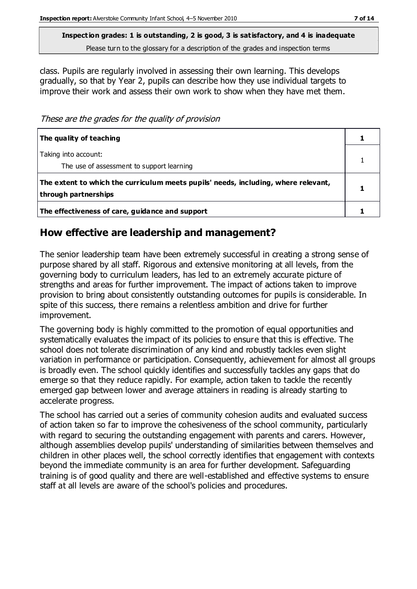Please turn to the glossary for a description of the grades and inspection terms

class. Pupils are regularly involved in assessing their own learning. This develops gradually, so that by Year 2, pupils can describe how they use individual targets to improve their work and assess their own work to show when they have met them.

These are the grades for the quality of provision

| The quality of teaching                                                                                    |  |
|------------------------------------------------------------------------------------------------------------|--|
| Taking into account:<br>The use of assessment to support learning                                          |  |
| The extent to which the curriculum meets pupils' needs, including, where relevant,<br>through partnerships |  |
| The effectiveness of care, guidance and support                                                            |  |

## **How effective are leadership and management?**

The senior leadership team have been extremely successful in creating a strong sense of purpose shared by all staff. Rigorous and extensive monitoring at all levels, from the governing body to curriculum leaders, has led to an extremely accurate picture of strengths and areas for further improvement. The impact of actions taken to improve provision to bring about consistently outstanding outcomes for pupils is considerable. In spite of this success, there remains a relentless ambition and drive for further improvement.

The governing body is highly committed to the promotion of equal opportunities and systematically evaluates the impact of its policies to ensure that this is effective. The school does not tolerate discrimination of any kind and robustly tackles even slight variation in performance or participation. Consequently, achievement for almost all groups is broadly even. The school quickly identifies and successfully tackles any gaps that do emerge so that they reduce rapidly. For example, action taken to tackle the recently emerged gap between lower and average attainers in reading is already starting to accelerate progress.

The school has carried out a series of community cohesion audits and evaluated success of action taken so far to improve the cohesiveness of the school community, particularly with regard to securing the outstanding engagement with parents and carers. However, although assemblies develop pupils' understanding of similarities between themselves and children in other places well, the school correctly identifies that engagement with contexts beyond the immediate community is an area for further development. Safeguarding training is of good quality and there are well-established and effective systems to ensure staff at all levels are aware of the school's policies and procedures.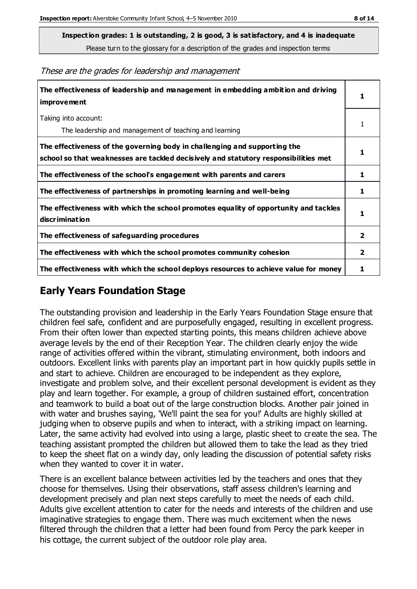Please turn to the glossary for a description of the grades and inspection terms

**The effectiveness of leadership and management in embedding ambition and driving improvement** Taking into account: The leadership and management of teaching and learning **The effectiveness of the governing body in challenging and supporting the school so that weaknesses are tackled decisively and statutory responsibilities met The effectiveness of the school's engagement with parents and carers 1 The effectiveness of partnerships in promoting learning and well-being 1 The effectiveness with which the school promotes equality of opportunity and tackles discrimination The effectiveness of safeguarding procedures 2 The effectiveness with which the school promotes community cohesion 2**

These are the grades for leadership and management

#### **Early Years Foundation Stage**

The outstanding provision and leadership in the Early Years Foundation Stage ensure that children feel safe, confident and are purposefully engaged, resulting in excellent progress. From their often lower than expected starting points, this means children achieve above average levels by the end of their Reception Year. The children clearly enjoy the wide range of activities offered within the vibrant, stimulating environment, both indoors and outdoors. Excellent links with parents play an important part in how quickly pupils settle in and start to achieve. Children are encouraged to be independent as they explore, investigate and problem solve, and their excellent personal development is evident as they play and learn together. For example, a group of children sustained effort, concentration and teamwork to build a boat out of the large construction blocks. Another pair joined in with water and brushes saying, 'We'll paint the sea for you!' Adults are highly skilled at judging when to observe pupils and when to interact, with a striking impact on learning. Later, the same activity had evolved into using a large, plastic sheet to create the sea. The teaching assistant prompted the children but allowed them to take the lead as they tried to keep the sheet flat on a windy day, only leading the discussion of potential safety risks when they wanted to cover it in water.

**The effectiveness with which the school deploys resources to achieve value for money 1**

There is an excellent balance between activities led by the teachers and ones that they choose for themselves. Using their observations, staff assess children's learning and development precisely and plan next steps carefully to meet the needs of each child. Adults give excellent attention to cater for the needs and interests of the children and use imaginative strategies to engage them. There was much excitement when the news filtered through the children that a letter had been found from Percy the park keeper in his cottage, the current subject of the outdoor role play area.

**1**

1

**1**

**1**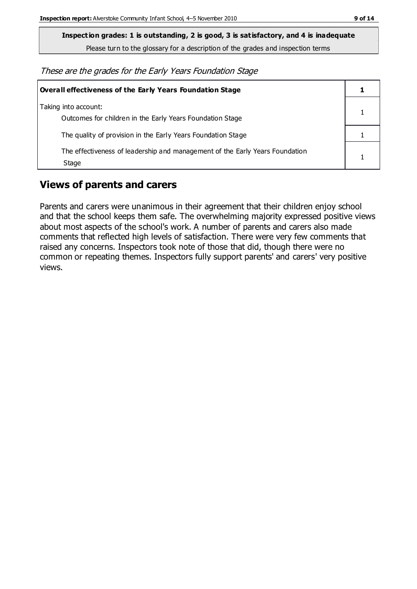Please turn to the glossary for a description of the grades and inspection terms

These are the grades for the Early Years Foundation Stage

| Overall effectiveness of the Early Years Foundation Stage                             |  |
|---------------------------------------------------------------------------------------|--|
| Taking into account:<br>Outcomes for children in the Early Years Foundation Stage     |  |
| The quality of provision in the Early Years Foundation Stage                          |  |
| The effectiveness of leadership and management of the Early Years Foundation<br>Stage |  |

## **Views of parents and carers**

Parents and carers were unanimous in their agreement that their children enjoy school and that the school keeps them safe. The overwhelming majority expressed positive views about most aspects of the school's work. A number of parents and carers also made comments that reflected high levels of satisfaction. There were very few comments that raised any concerns. Inspectors took note of those that did, though there were no common or repeating themes. Inspectors fully support parents' and carers' very positive views.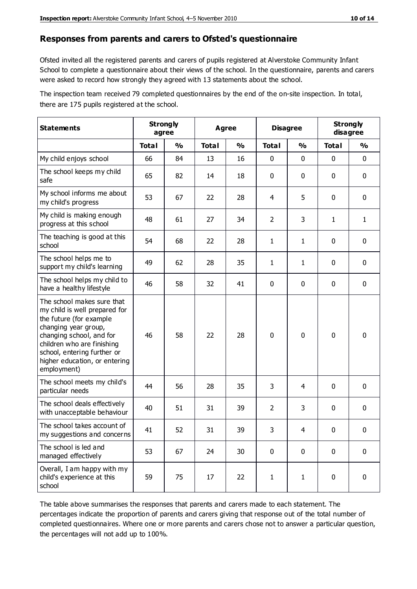#### **Responses from parents and carers to Ofsted's questionnaire**

Ofsted invited all the registered parents and carers of pupils registered at Alverstoke Community Infant School to complete a questionnaire about their views of the school. In the questionnaire, parents and carers were asked to record how strongly they agreed with 13 statements about the school.

The inspection team received 79 completed questionnaires by the end of the on-site inspection. In total, there are 175 pupils registered at the school.

| <b>Statements</b>                                                                                                                                                                                                                                       | <b>Strongly</b><br>agree |               | Agree        |               | <b>Disagree</b> |               | <b>Strongly</b><br>disagree |             |
|---------------------------------------------------------------------------------------------------------------------------------------------------------------------------------------------------------------------------------------------------------|--------------------------|---------------|--------------|---------------|-----------------|---------------|-----------------------------|-------------|
|                                                                                                                                                                                                                                                         | <b>Total</b>             | $\frac{0}{0}$ | <b>Total</b> | $\frac{0}{0}$ | <b>Total</b>    | $\frac{0}{0}$ | <b>Total</b>                | %           |
| My child enjoys school                                                                                                                                                                                                                                  | 66                       | 84            | 13           | 16            | 0               | 0             | $\mathbf 0$                 | $\mathbf 0$ |
| The school keeps my child<br>safe                                                                                                                                                                                                                       | 65                       | 82            | 14           | 18            | 0               | 0             | $\mathbf 0$                 | $\mathbf 0$ |
| My school informs me about<br>my child's progress                                                                                                                                                                                                       | 53                       | 67            | 22           | 28            | 4               | 5             | $\mathbf 0$                 | $\mathbf 0$ |
| My child is making enough<br>progress at this school                                                                                                                                                                                                    | 48                       | 61            | 27           | 34            | $\overline{2}$  | 3             | 1                           | 1           |
| The teaching is good at this<br>school                                                                                                                                                                                                                  | 54                       | 68            | 22           | 28            | $\mathbf{1}$    | $\mathbf{1}$  | $\mathbf 0$                 | $\mathbf 0$ |
| The school helps me to<br>support my child's learning                                                                                                                                                                                                   | 49                       | 62            | 28           | 35            | 1               | 1             | $\mathbf 0$                 | $\mathbf 0$ |
| The school helps my child to<br>have a healthy lifestyle                                                                                                                                                                                                | 46                       | 58            | 32           | 41            | 0               | $\mathbf 0$   | $\mathbf 0$                 | $\mathbf 0$ |
| The school makes sure that<br>my child is well prepared for<br>the future (for example<br>changing year group,<br>changing school, and for<br>children who are finishing<br>school, entering further or<br>higher education, or entering<br>employment) | 46                       | 58            | 22           | 28            | 0               | 0             | $\mathbf 0$                 | $\mathbf 0$ |
| The school meets my child's<br>particular needs                                                                                                                                                                                                         | 44                       | 56            | 28           | 35            | 3               | 4             | $\mathbf 0$                 | $\mathbf 0$ |
| The school deals effectively<br>with unacceptable behaviour                                                                                                                                                                                             | 40                       | 51            | 31           | 39            | $\overline{2}$  | 3             | 0                           | $\mathbf 0$ |
| The school takes account of<br>my suggestions and concerns                                                                                                                                                                                              | 41                       | 52            | 31           | 39            | 3               | 4             | 0                           | 0           |
| The school is led and<br>managed effectively                                                                                                                                                                                                            | 53                       | 67            | 24           | 30            | $\mathbf 0$     | $\mathbf 0$   | $\mathbf 0$                 | $\mathbf 0$ |
| Overall, I am happy with my<br>child's experience at this<br>school                                                                                                                                                                                     | 59                       | 75            | 17           | 22            | $\mathbf{1}$    | $\mathbf{1}$  | $\mathbf 0$                 | $\mathbf 0$ |

The table above summarises the responses that parents and carers made to each statement. The percentages indicate the proportion of parents and carers giving that response out of the total number of completed questionnaires. Where one or more parents and carers chose not to answer a particular question, the percentages will not add up to 100%.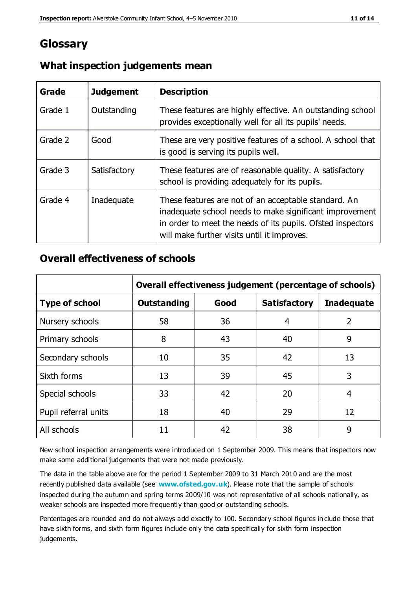# **Glossary**

| Grade   | <b>Judgement</b> | <b>Description</b>                                                                                                                                                                                                            |
|---------|------------------|-------------------------------------------------------------------------------------------------------------------------------------------------------------------------------------------------------------------------------|
| Grade 1 | Outstanding      | These features are highly effective. An outstanding school<br>provides exceptionally well for all its pupils' needs.                                                                                                          |
| Grade 2 | Good             | These are very positive features of a school. A school that<br>is good is serving its pupils well.                                                                                                                            |
| Grade 3 | Satisfactory     | These features are of reasonable quality. A satisfactory<br>school is providing adequately for its pupils.                                                                                                                    |
| Grade 4 | Inadequate       | These features are not of an acceptable standard. An<br>inadequate school needs to make significant improvement<br>in order to meet the needs of its pupils. Ofsted inspectors<br>will make further visits until it improves. |

#### **What inspection judgements mean**

#### **Overall effectiveness of schools**

|                       | Overall effectiveness judgement (percentage of schools) |      |                     |                   |
|-----------------------|---------------------------------------------------------|------|---------------------|-------------------|
| <b>Type of school</b> | <b>Outstanding</b>                                      | Good | <b>Satisfactory</b> | <b>Inadequate</b> |
| Nursery schools       | 58                                                      | 36   | 4                   | 2                 |
| Primary schools       | 8                                                       | 43   | 40                  | 9                 |
| Secondary schools     | 10                                                      | 35   | 42                  | 13                |
| Sixth forms           | 13                                                      | 39   | 45                  | 3                 |
| Special schools       | 33                                                      | 42   | 20                  | 4                 |
| Pupil referral units  | 18                                                      | 40   | 29                  | 12                |
| All schools           | 11                                                      | 42   | 38                  | 9                 |

New school inspection arrangements were introduced on 1 September 2009. This means that inspectors now make some additional judgements that were not made previously.

The data in the table above are for the period 1 September 2009 to 31 March 2010 and are the most recently published data available (see **[www.ofsted.gov.uk](http://www.ofsted.gov.uk/)**). Please note that the sample of schools inspected during the autumn and spring terms 2009/10 was not representative of all schools nationally, as weaker schools are inspected more frequently than good or outstanding schools.

Percentages are rounded and do not always add exactly to 100. Secondary school figures in clude those that have sixth forms, and sixth form figures include only the data specifically for sixth form inspection judgements.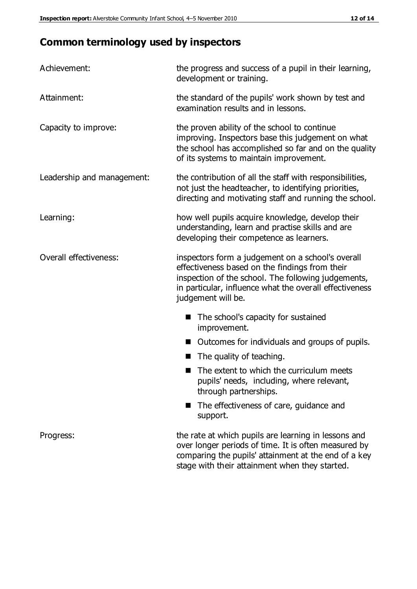# **Common terminology used by inspectors**

| Achievement:               | the progress and success of a pupil in their learning,<br>development or training.                                                                                                                                                          |  |  |
|----------------------------|---------------------------------------------------------------------------------------------------------------------------------------------------------------------------------------------------------------------------------------------|--|--|
| Attainment:                | the standard of the pupils' work shown by test and<br>examination results and in lessons.                                                                                                                                                   |  |  |
| Capacity to improve:       | the proven ability of the school to continue<br>improving. Inspectors base this judgement on what<br>the school has accomplished so far and on the quality<br>of its systems to maintain improvement.                                       |  |  |
| Leadership and management: | the contribution of all the staff with responsibilities,<br>not just the headteacher, to identifying priorities,<br>directing and motivating staff and running the school.                                                                  |  |  |
| Learning:                  | how well pupils acquire knowledge, develop their<br>understanding, learn and practise skills and are<br>developing their competence as learners.                                                                                            |  |  |
| Overall effectiveness:     | inspectors form a judgement on a school's overall<br>effectiveness based on the findings from their<br>inspection of the school. The following judgements,<br>in particular, influence what the overall effectiveness<br>judgement will be. |  |  |
|                            | The school's capacity for sustained<br>improvement.                                                                                                                                                                                         |  |  |
|                            | Outcomes for individuals and groups of pupils.                                                                                                                                                                                              |  |  |
|                            | The quality of teaching.                                                                                                                                                                                                                    |  |  |
|                            | The extent to which the curriculum meets<br>pupils' needs, including, where relevant,<br>through partnerships.                                                                                                                              |  |  |
|                            | The effectiveness of care, guidance and<br>support.                                                                                                                                                                                         |  |  |
| Progress:                  | the rate at which pupils are learning in lessons and<br>over longer periods of time. It is often measured by<br>comparing the pupils' attainment at the end of a key                                                                        |  |  |

stage with their attainment when they started.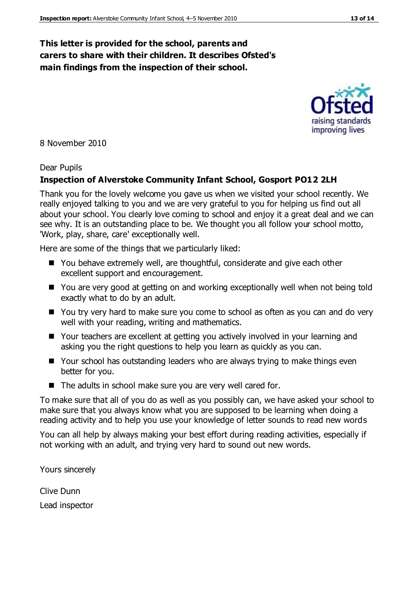#### **This letter is provided for the school, parents and carers to share with their children. It describes Ofsted's main findings from the inspection of their school.**

8 November 2010

#### Dear Pupils

#### **Inspection of Alverstoke Community Infant School, Gosport PO12 2LH**

Thank you for the lovely welcome you gave us when we visited your school recently. We really enjoyed talking to you and we are very grateful to you for helping us find out all about your school. You clearly love coming to school and enjoy it a great deal and we can see why. It is an outstanding place to be. We thought you all follow your school motto, 'Work, play, share, care' exceptionally well.

Here are some of the things that we particularly liked:

- You behave extremely well, are thoughtful, considerate and give each other excellent support and encouragement.
- You are very good at getting on and working exceptionally well when not being told exactly what to do by an adult.
- You try very hard to make sure you come to school as often as you can and do very well with your reading, writing and mathematics.
- Your teachers are excellent at getting you actively involved in your learning and asking you the right questions to help you learn as quickly as you can.
- Your school has outstanding leaders who are always trying to make things even better for you.
- $\blacksquare$  The adults in school make sure you are very well cared for.

To make sure that all of you do as well as you possibly can, we have asked your school to make sure that you always know what you are supposed to be learning when doing a reading activity and to help you use your knowledge of letter sounds to read new words

You can all help by always making your best effort during reading activities, especially if not working with an adult, and trying very hard to sound out new words.

Yours sincerely

Clive Dunn Lead inspector